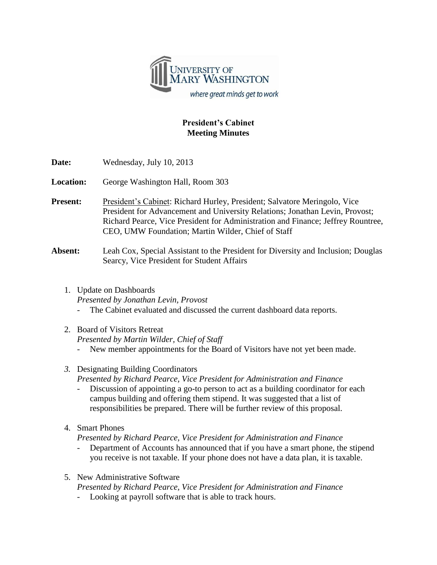

## **President's Cabinet Meeting Minutes**

| Date: | Wednesday, July 10, 2013 |  |
|-------|--------------------------|--|
|-------|--------------------------|--|

**Location:** George Washington Hall, Room 303

Present: President's Cabinet: Richard Hurley, President; Salvatore Meringolo, Vice President for Advancement and University Relations; Jonathan Levin, Provost; Richard Pearce, Vice President for Administration and Finance; Jeffrey Rountree, CEO, UMW Foundation; Martin Wilder, Chief of Staff

## **Absent:** Leah Cox, Special Assistant to the President for Diversity and Inclusion; Douglas Searcy, Vice President for Student Affairs

- 1. Update on Dashboards *Presented by Jonathan Levin, Provost*
	- The Cabinet evaluated and discussed the current dashboard data reports.
- 2. Board of Visitors Retreat

*Presented by Martin Wilder, Chief of Staff*

- New member appointments for the Board of Visitors have not yet been made.
- *3.* Designating Building Coordinators *Presented by Richard Pearce, Vice President for Administration and Finance*
	- Discussion of appointing a go-to person to act as a building coordinator for each campus building and offering them stipend. It was suggested that a list of responsibilities be prepared. There will be further review of this proposal.
- 4. Smart Phones

*Presented by Richard Pearce, Vice President for Administration and Finance*

- Department of Accounts has announced that if you have a smart phone, the stipend you receive is not taxable. If your phone does not have a data plan, it is taxable.
- 5. New Administrative Software

*Presented by Richard Pearce, Vice President for Administration and Finance*

Looking at payroll software that is able to track hours.